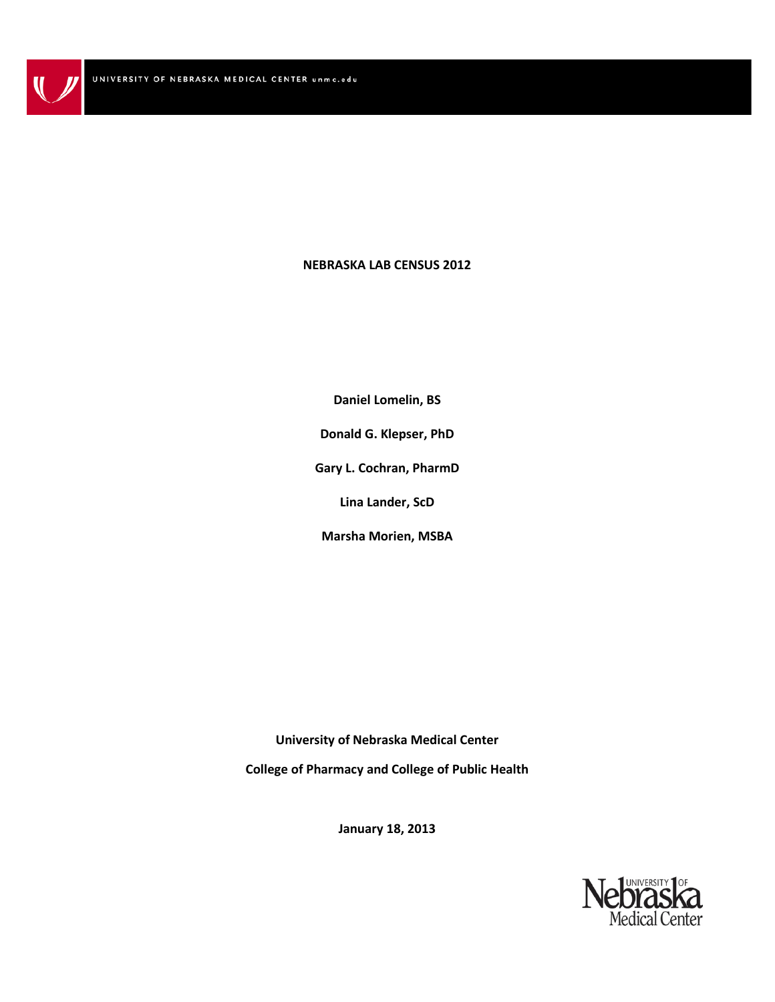### **NEBRASKA LAB CENSUS 2012**

**Daniel Lomelin, BS Donald G. Klepser, PhD Gary L. Cochran, PharmD Lina Lander, ScD Marsha Morien, MSBA**

**University of Nebraska Medical Center College of Pharmacy and College of Public Health**

**January 18, 2013**

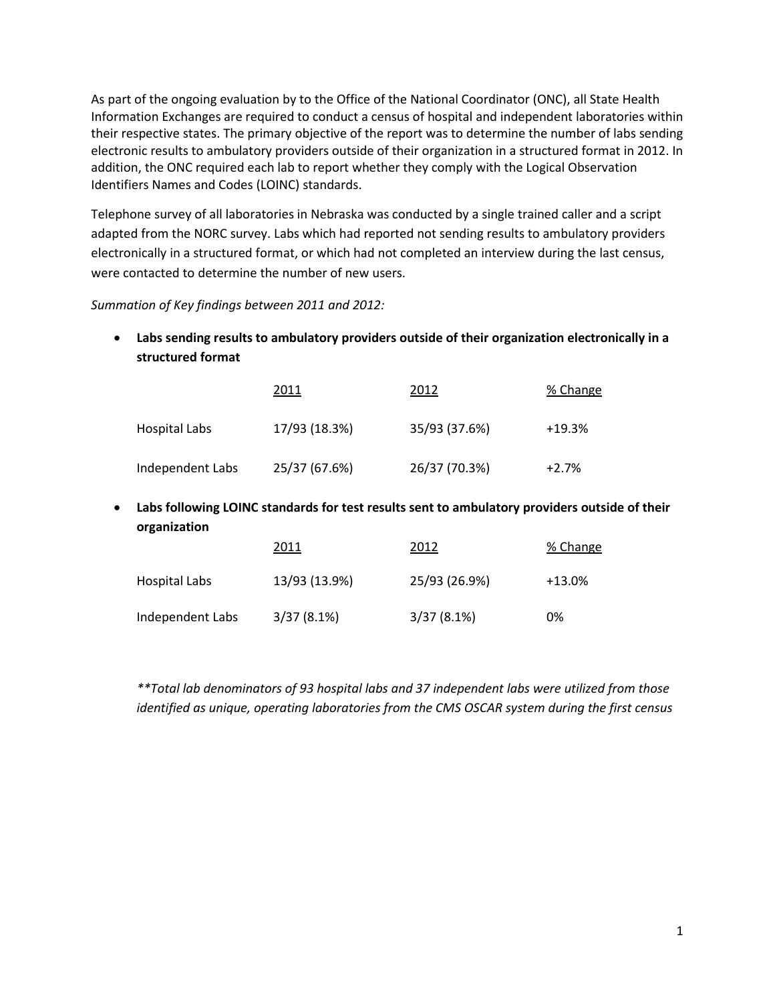As part of the ongoing evaluation by to the Office of the National Coordinator (ONC), all State Health Information Exchanges are required to conduct a census of hospital and independent laboratories within their respective states. The primary objective of the report was to determine the number of labs sending electronic results to ambulatory providers outside of their organization in a structured format in 2012. In addition, the ONC required each lab to report whether they comply with the Logical Observation Identifiers Names and Codes (LOINC) standards.

Telephone survey of all laboratories in Nebraska was conducted by a single trained caller and a script adapted from the NORC survey. Labs which had reported not sending results to ambulatory providers electronically in a structured format, or which had not completed an interview during the last census, were contacted to determine the number of new users.

*Summation of Key findings between 2011 and 2012:*

• **Labs sending results to ambulatory providers outside of their organization electronically in a structured format**

|                  | 2011          | 2012          | % Change |
|------------------|---------------|---------------|----------|
| Hospital Labs    | 17/93 (18.3%) | 35/93 (37.6%) | $+19.3%$ |
| Independent Labs | 25/37 (67.6%) | 26/37 (70.3%) | $+2.7%$  |

• **Labs following LOINC standards for test results sent to ambulatory providers outside of their organization**

|                  | 2011          | 2012          | % Change |
|------------------|---------------|---------------|----------|
| Hospital Labs    | 13/93 (13.9%) | 25/93 (26.9%) | $+13.0%$ |
| Independent Labs | 3/37(8.1%)    | 3/37(8.1%)    | 0%       |

*\*\*Total lab denominators of 93 hospital labs and 37 independent labs were utilized from those identified as unique, operating laboratories from the CMS OSCAR system during the first census*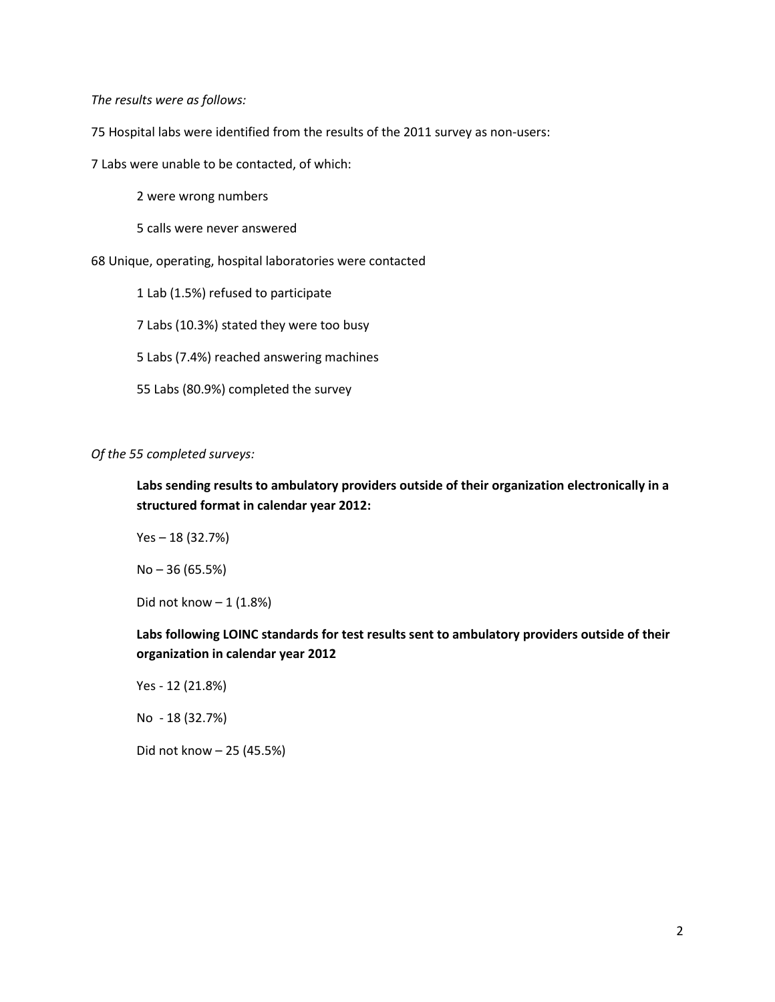*The results were as follows:*

75 Hospital labs were identified from the results of the 2011 survey as non-users:

7 Labs were unable to be contacted, of which:

2 were wrong numbers

5 calls were never answered

68 Unique, operating, hospital laboratories were contacted

1 Lab (1.5%) refused to participate

7 Labs (10.3%) stated they were too busy

5 Labs (7.4%) reached answering machines

55 Labs (80.9%) completed the survey

#### *Of the 55 completed surveys:*

**Labs sending results to ambulatory providers outside of their organization electronically in a structured format in calendar year 2012:**

Yes – 18 (32.7%)

No – 36 (65.5%)

Did not know  $-1$  (1.8%)

**Labs following LOINC standards for test results sent to ambulatory providers outside of their organization in calendar year 2012**

Yes - 12 (21.8%)

No - 18 (32.7%)

Did not know – 25 (45.5%)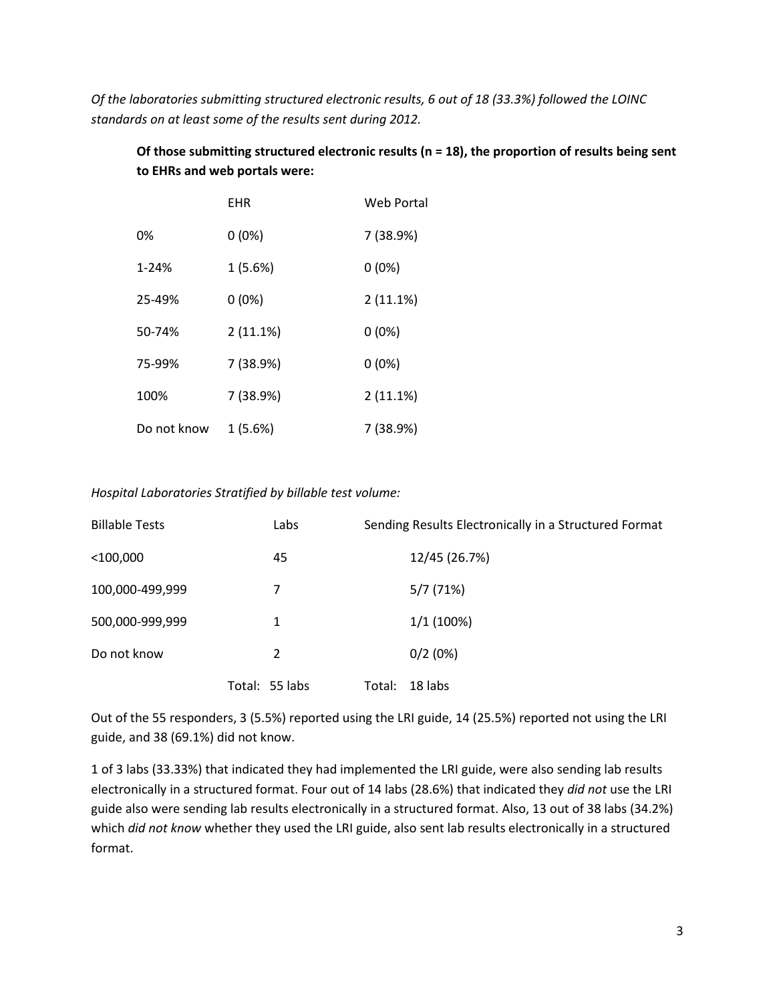*Of the laboratories submitting structured electronic results, 6 out of 18 (33.3%) followed the LOINC standards on at least some of the results sent during 2012.*

# **Of those submitting structured electronic results (n = 18), the proportion of results being sent to EHRs and web portals were:**

|             | EHR       | Web Portal |
|-------------|-----------|------------|
| 0%          | $0(0\%)$  | 7 (38.9%)  |
| 1-24%       | 1(5.6%)   | $0(0\%)$   |
| 25-49%      | $0(0\%)$  | 2(11.1%)   |
| 50-74%      | 2(11.1%)  | $0(0\%)$   |
| 75-99%      | 7 (38.9%) | $0(0\%)$   |
| 100%        | 7 (38.9%) | 2(11.1%)   |
| Do not know | 1(5.6%)   | 7 (38.9%)  |

## *Hospital Laboratories Stratified by billable test volume:*

| <b>Billable Tests</b> | Labs           |        | Sending Results Electronically in a Structured Format |
|-----------------------|----------------|--------|-------------------------------------------------------|
| $<$ 100,000           | 45             |        | 12/45 (26.7%)                                         |
| 100,000-499,999       | 7              |        | 5/7(71%)                                              |
| 500,000-999,999       | 1              |        | 1/1(100%)                                             |
| Do not know           | 2              |        | 0/2(0%)                                               |
|                       | Total: 55 labs | Total: | 18 labs                                               |

Out of the 55 responders, 3 (5.5%) reported using the LRI guide, 14 (25.5%) reported not using the LRI guide, and 38 (69.1%) did not know.

1 of 3 labs (33.33%) that indicated they had implemented the LRI guide, were also sending lab results electronically in a structured format. Four out of 14 labs (28.6%) that indicated they *did not* use the LRI guide also were sending lab results electronically in a structured format. Also, 13 out of 38 labs (34.2%) which *did not know* whether they used the LRI guide, also sent lab results electronically in a structured format.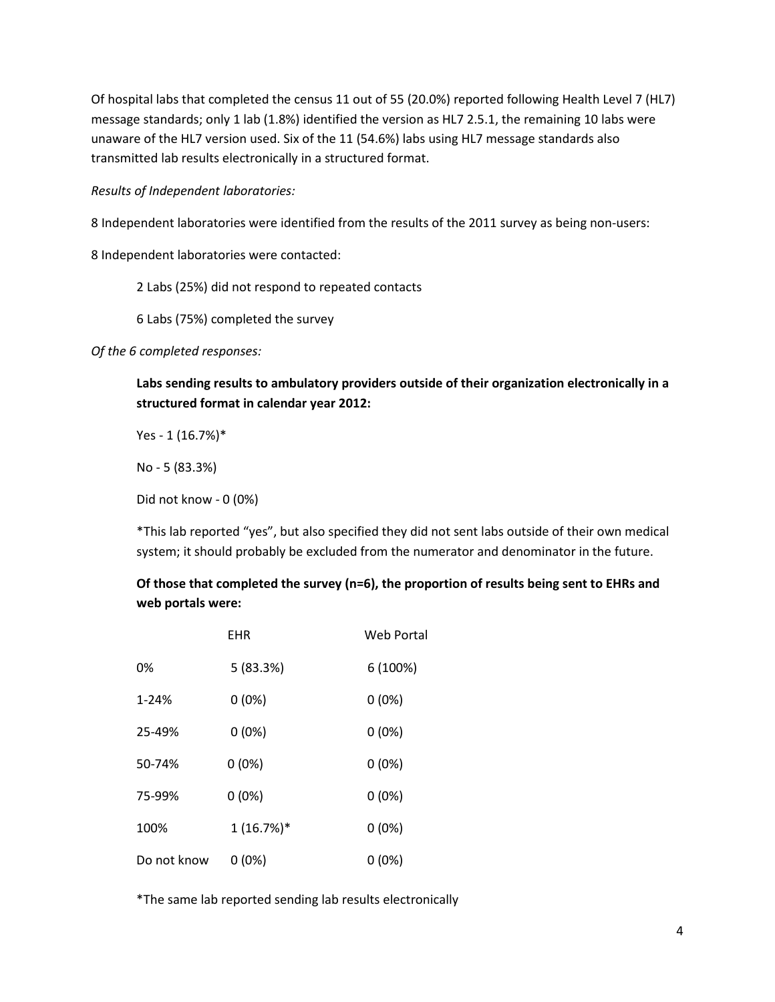Of hospital labs that completed the census 11 out of 55 (20.0%) reported following Health Level 7 (HL7) message standards; only 1 lab (1.8%) identified the version as HL7 2.5.1, the remaining 10 labs were unaware of the HL7 version used. Six of the 11 (54.6%) labs using HL7 message standards also transmitted lab results electronically in a structured format.

## *Results of Independent laboratories:*

8 Independent laboratories were identified from the results of the 2011 survey as being non-users:

8 Independent laboratories were contacted:

2 Labs (25%) did not respond to repeated contacts

6 Labs (75%) completed the survey

*Of the 6 completed responses:*

**Labs sending results to ambulatory providers outside of their organization electronically in a structured format in calendar year 2012:**

Yes - 1 (16.7%)\*

No - 5 (83.3%)

Did not know - 0 (0%)

\*This lab reported "yes", but also specified they did not sent labs outside of their own medical system; it should probably be excluded from the numerator and denominator in the future.

**Of those that completed the survey (n=6), the proportion of results being sent to EHRs and web portals were:**

|             | EHR         | <b>Web Portal</b> |
|-------------|-------------|-------------------|
| 0%          | 5 (83.3%)   | 6 (100%)          |
| $1 - 24%$   | $0(0\%)$    | $0(0\%)$          |
| 25-49%      | $0(0\%)$    | $0(0\%)$          |
| 50-74%      | $0(0\%)$    | $0(0\%)$          |
| 75-99%      | $0(0\%)$    | $0(0\%)$          |
| 100%        | $1(16.7%)*$ | $0(0\%)$          |
| Do not know | $0(0\%)$    | $0(0\%)$          |

\*The same lab reported sending lab results electronically